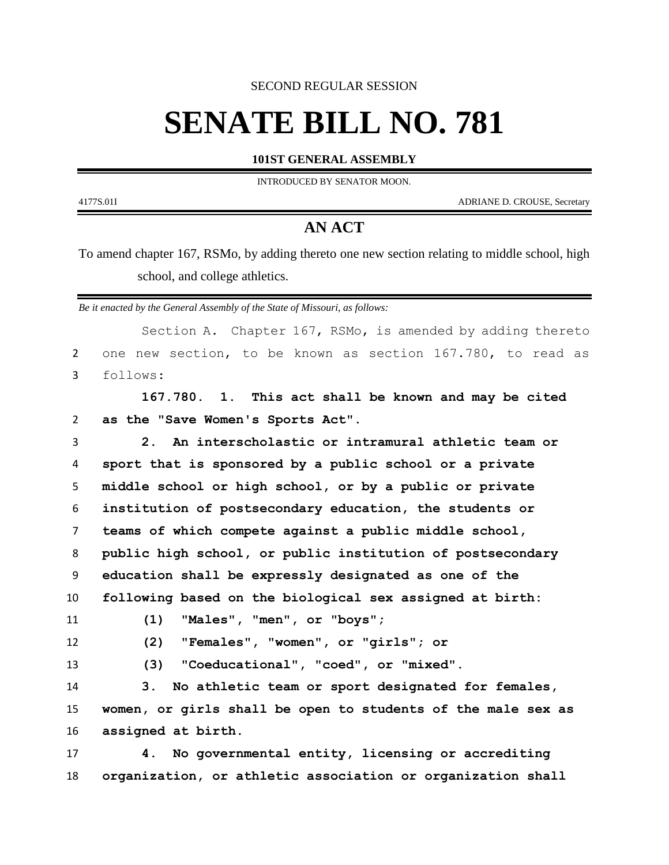SECOND REGULAR SESSION

## **SENATE BILL NO. 781**

**101ST GENERAL ASSEMBLY**

INTRODUCED BY SENATOR MOON.

4177S.01I ADRIANE D. CROUSE, Secretary

## **AN ACT**

To amend chapter 167, RSMo, by adding thereto one new section relating to middle school, high school, and college athletics.

*Be it enacted by the General Assembly of the State of Missouri, as follows:*

|                | Section A. Chapter 167, RSMo, is amended by adding thereto   |
|----------------|--------------------------------------------------------------|
| $\overline{2}$ | one new section, to be known as section 167.780, to read as  |
| 3              | follows:                                                     |
|                | 167.780. 1. This act shall be known and may be cited         |
| $\overline{2}$ | as the "Save Women's Sports Act".                            |
| 3              | An interscholastic or intramural athletic team or<br>2.      |
| 4              | sport that is sponsored by a public school or a private      |
| 5              | middle school or high school, or by a public or private      |
| 6              | institution of postsecondary education, the students or      |
| $\overline{7}$ | teams of which compete against a public middle school,       |
| 8              | public high school, or public institution of postsecondary   |
| 9              | education shall be expressly designated as one of the        |
| 10             | following based on the biological sex assigned at birth:     |
| 11             | (1)<br>"Males", "men", or "boys";                            |
| 12             | "Females", "women", or "girls"; or<br>(2)                    |
| 13             | "Coeducational", "coed", or "mixed".<br>(3)                  |
| 14             | No athletic team or sport designated for females,<br>3.      |
| 15             | women, or girls shall be open to students of the male sex as |
| 16             | assigned at birth.                                           |
| 17             | No governmental entity, licensing or accrediting<br>4.       |
| 18             | organization, or athletic association or organization shall  |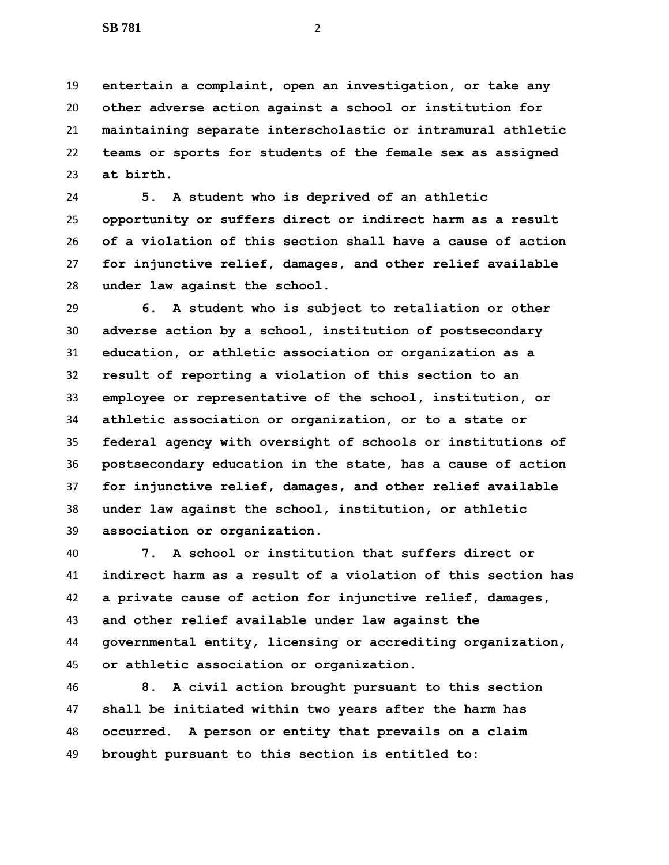**entertain a complaint, open an investigation, or take any other adverse action against a school or institution for maintaining separate interscholastic or intramural athletic teams or sports for students of the female sex as assigned at birth.**

 **5. A student who is deprived of an athletic opportunity or suffers direct or indirect harm as a result of a violation of this section shall have a cause of action for injunctive relief, damages, and other relief available under law against the school.**

 **6. A student who is subject to retaliation or other adverse action by a school, institution of postsecondary education, or athletic association or organization as a result of reporting a violation of this section to an employee or representative of the school, institution, or athletic association or organization, or to a state or federal agency with oversight of schools or institutions of postsecondary education in the state, has a cause of action for injunctive relief, damages, and other relief available under law against the school, institution, or athletic association or organization.**

 **7. A school or institution that suffers direct or indirect harm as a result of a violation of this section has a private cause of action for injunctive relief, damages, and other relief available under law against the governmental entity, licensing or accrediting organization, or athletic association or organization.**

 **8. A civil action brought pursuant to this section shall be initiated within two years after the harm has occurred. A person or entity that prevails on a claim brought pursuant to this section is entitled to:**